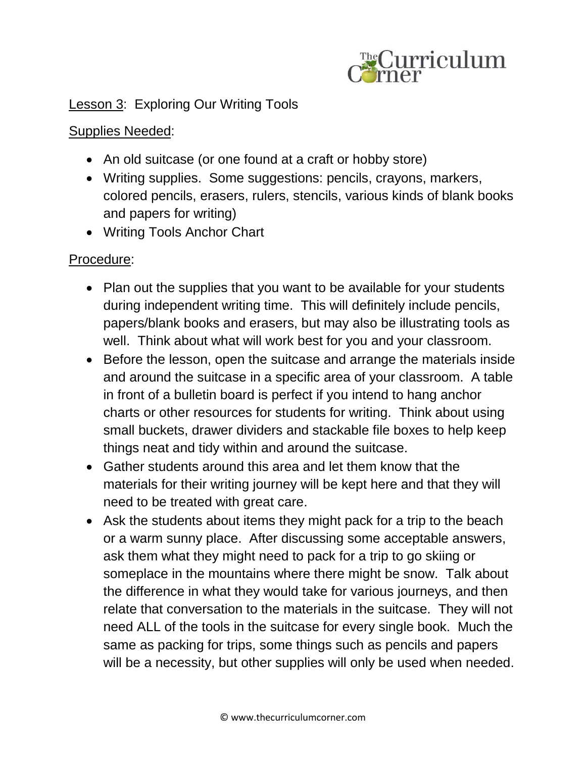

## Lesson 3: Exploring Our Writing Tools

## Supplies Needed:

- An old suitcase (or one found at a craft or hobby store)
- Writing supplies. Some suggestions: pencils, crayons, markers, colored pencils, erasers, rulers, stencils, various kinds of blank books and papers for writing)
- Writing Tools Anchor Chart

## Procedure:

- Plan out the supplies that you want to be available for your students during independent writing time. This will definitely include pencils, papers/blank books and erasers, but may also be illustrating tools as well. Think about what will work best for you and your classroom.
- Before the lesson, open the suitcase and arrange the materials inside and around the suitcase in a specific area of your classroom. A table in front of a bulletin board is perfect if you intend to hang anchor charts or other resources for students for writing. Think about using small buckets, drawer dividers and stackable file boxes to help keep things neat and tidy within and around the suitcase.
- Gather students around this area and let them know that the materials for their writing journey will be kept here and that they will need to be treated with great care.
- Ask the students about items they might pack for a trip to the beach or a warm sunny place. After discussing some acceptable answers, ask them what they might need to pack for a trip to go skiing or someplace in the mountains where there might be snow. Talk about the difference in what they would take for various journeys, and then relate that conversation to the materials in the suitcase. They will not need ALL of the tools in the suitcase for every single book. Much the same as packing for trips, some things such as pencils and papers will be a necessity, but other supplies will only be used when needed.